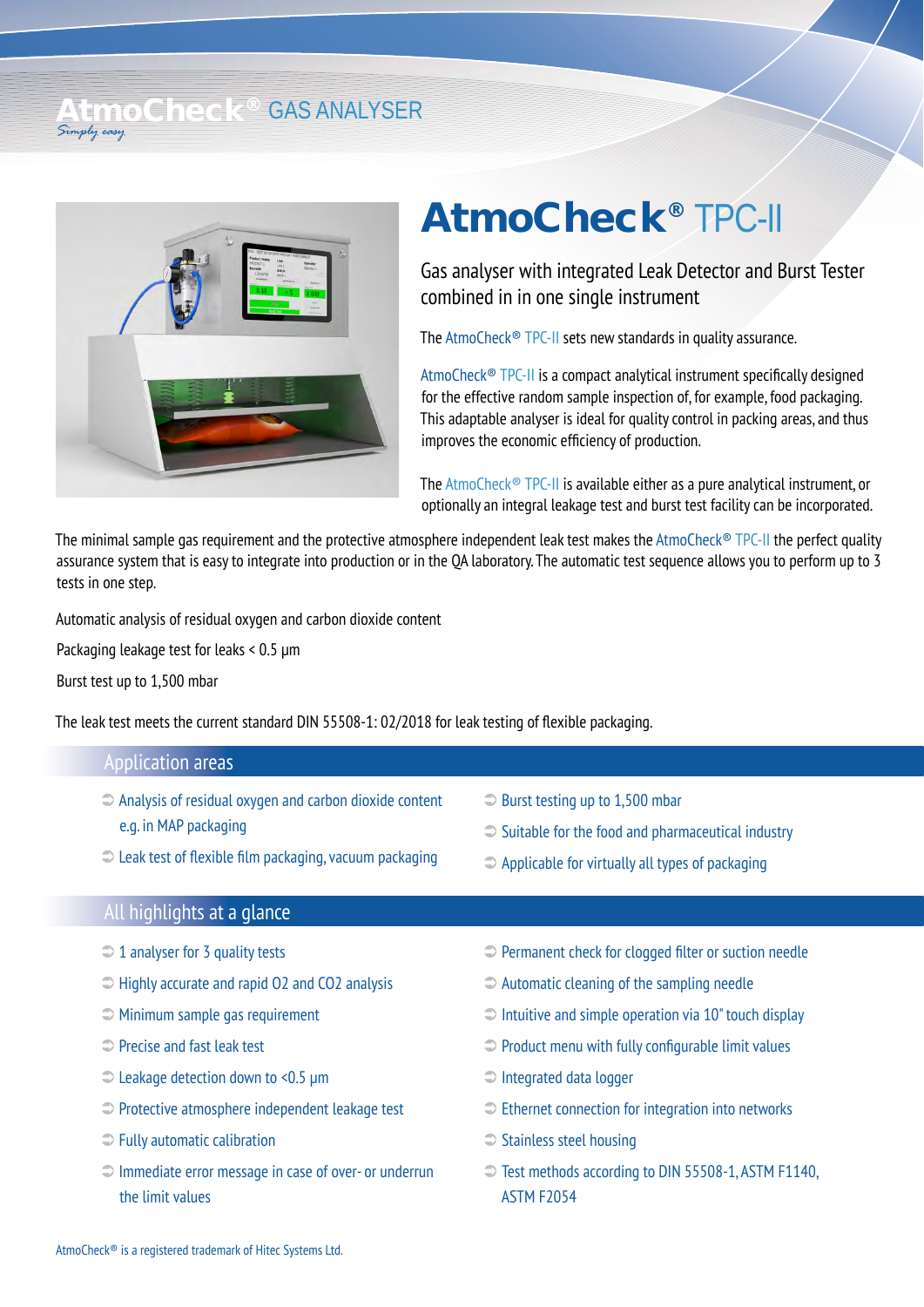## LimoCheck<sup>®</sup> GAS ANALYSER *Simply easy*



## AtmoCheck® TPC-II

Gas analyser with integrated Leak Detector and Burst Tester combined in in one single instrument

The AtmoCheck® TPC-II sets new standards in quality assurance.

AtmoCheck® TPC-II is a compact analytical instrument specifically designed for the effective random sample inspection of, for example, food packaging. This adaptable analyser is ideal for quality control in packing areas, and thus improves the economic efficiency of production.

The AtmoCheck® TPC-II is available either as a pure analytical instrument, or optionally an integral leakage test and burst test facility can be incorporated.

The minimal sample gas requirement and the protective atmosphere independent leak test makes the AtmoCheck® TPC-II the perfect quality assurance system that is easy to integrate into production or in the QA laboratory. The automatic test sequence allows you to perform up to 3 tests in one step.

Automatic analysis of residual oxygen and carbon dioxide content

Packaging leakage test for leaks < 0.5 μm

Burst test up to 1,500 mbar

The leak test meets the current standard DIN 55508-1: 02/2018 for leak testing of flexible packaging.

## $\supset$  Burst testing up to 1,500 mbar  $\supset$  Suitable for the food and pharmaceutical industry  $\supset$  Applicable for virtually all types of packaging  $\supset$  Analysis of residual oxygen and carbon dioxide content e.g. in MAP packaging  $\supseteq$  Leak test of flexible film packaging, vacuum packaging Application areas All highlights at a glance

- $\supset 1$  analyser for 3 quality tests
- $\Rightarrow$  Highly accurate and rapid O2 and CO2 analysis
- $\supset$  Minimum sample gas requirement
- Precise and fast leak test
- Leakage detection down to <0.5 µm
- Protective atmosphere independent leakage test
- $\supset$  Fully automatic calibration
- $\supset$  Immediate error message in case of over- or underrun the limit values
- **Permanent check for clogged filter or suction needle**
- Automatic cleaning of the sampling needle
- $\supset$  Intuitive and simple operation via 10" touch display
- $\supset$  Product menu with fully configurable limit values
- Integrated data logger
- $\supset$  Ethernet connection for integration into networks
- $\supset$  Stainless steel housing
- Test methods according to DIN 55508-1, ASTM F1140, ASTM F2054